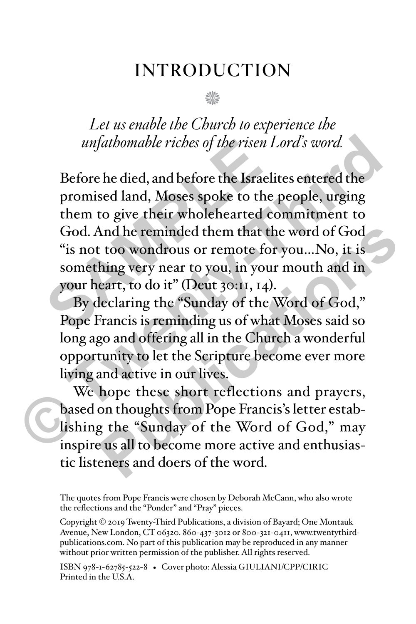# INTRODUCTION

n

*Let us enable the Church to experience the unfathomable riches of the risen Lord's word.*

Before he died, and before the Israelites entered the promised land, Moses spoke to the people, urging them to give their wholehearted commitment to God. And he reminded them that the word of God "is not too wondrous or remote for you…No, it is something very near to you, in your mouth and in your heart, to do it" (Deut 30:11, 14). *unfathomable riches of the risen L*<br>Before he died, and before the Israeli<br>promised land, Moses spoke to the<br>them to give their wholehearted cc<br>God. And he reminded them that th<br>"is not too wondrous or remote for<br>somethin *unfathomable riches of the risen Lord's word.*<br>Before he died, and before the Israelites entered the<br>promised land, Moses spoke to the people, urging<br>them to give their wholehearted commitment to<br>God. And he reminded them

By declaring the "Sunday of the Word of God," Pope Francis is reminding us of what Moses said so long ago and offering all in the Church a wonderful opportunity to let the Scripture become ever more living and active in our lives. And he reminded them that the word of God<br>
too wondrous or remote for you...No, it is<br>
hing very near to you, in your mouth and in<br>
eart, to do it" (Deut 30:11, 14).<br>
leclaring the "Sunday of the Word of God,"<br>
Francis is

We hope these short reflections and prayers, based on thoughts from Pope Francis's letter establishing the "Sunday of the Word of God," may inspire us all to become more active and enthusiastic listeners and doers of the word.

The quotes from Pope Francis were chosen by Deborah McCann, who also wrote the reflections and the "Ponder" and "Pray" pieces.

Copyright © 2019 Twenty-Third Publications, a division of Bayard; One Montauk Avenue, New London, CT 06320. 860-437-3012 or 800-321-0411, www.twentythirdpublications.com. No part of this publication may be reproduced in any manner without prior written permission of the publisher. All rights reserved.

ISBN 978-1-62785-522-8 • Cover photo: Alessia GIULIANI/CPP/CIRIC Printed in the  $\overline{USA}$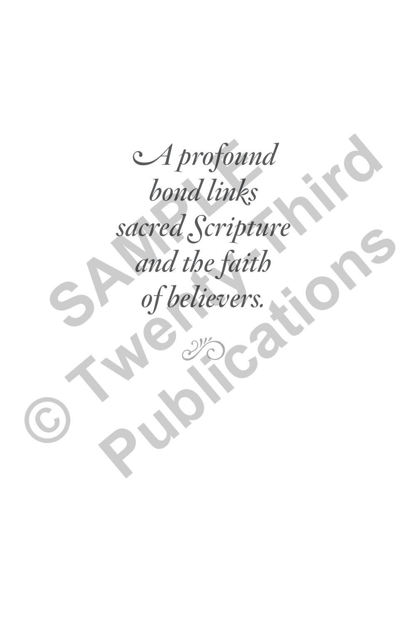A profound bond links sacred Scripture and the faith of believers. *SA profound<br>bond links<br>sacred Scriptur<br>and the faith<br>of believers. CA profound<br>bond links<br>sacred Scripture<br>and the faith<br>of believers.* Sacrea Scripture<br>and the faith<br>of believers.<br>2000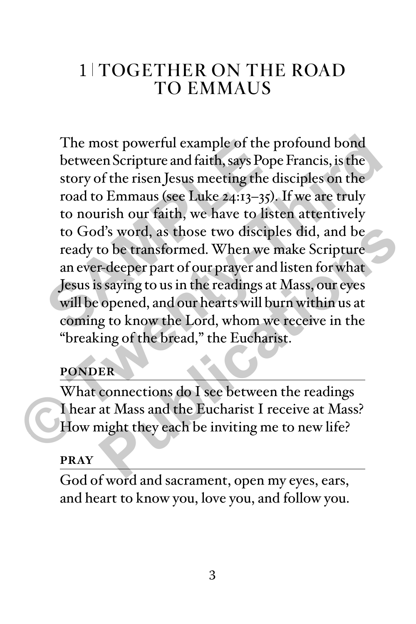# 1 TOGETHER ON THE ROAD TO EMMAUS

The most powerful example of the profound bond between Scripture and faith, says Pope Francis, is the story of the risen Jesus meeting the disciples on the road to Emmaus (see Luke 24:13–35). If we are truly to nourish our faith, we have to listen attentively to God's word, as those two disciples did, and be ready to be transformed. When we make Scripture an ever-deeper part of our prayer and listen for what Jesus is saying to us in the readings at Mass, our eyes will be opened, and our hearts will burn within us at coming to know the Lord, whom we receive in the "breaking of the bread," the Eucharist. The most powerful example of the p<br>between Scripture and faith, says Pope<br>story of the risen Jesus meeting the d<br>road to Emmaus (see Luke 24:13–35).<br>to nourish our faith, we have to list<br>to God's word, as those two discipl The most powerful example of the profound bond<br>between Scripture and faith, says Pope Francis, is the<br>story of the risen Jesus meeting the disciples on the<br>road to Emmaus (see Luke 24:13-35). If we are truly<br>to nourish our d's word, as those two disciples did, and be<br>to be transformed. When we make Scripture<br>r-deeper part of our prayer and listen for what<br>saying to us in the readings at Mass, our eyes<br>opened, and our hearts will burn within

## **PONDER**

What connections do I see between the readings I hear at Mass and the Eucharist I receive at Mass? How might they each be inviting me to new life?

#### **PRAY**

God of word and sacrament, open my eyes, ears, and heart to know you, love you, and follow you.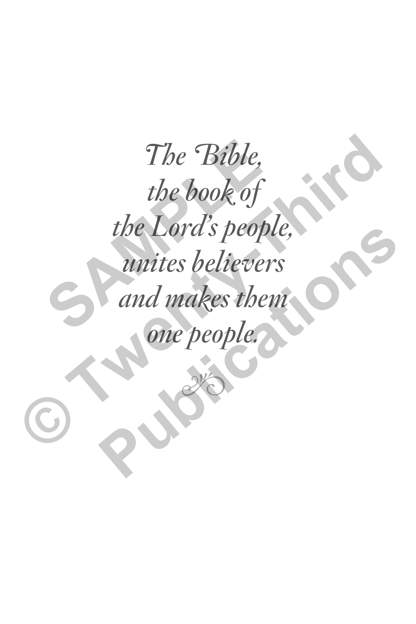The Bible, the book of the Lord's people, unites believers and makes them The Bible,<br>the book of<br>the Lord's peopl<br>unites believer.<br>and makes then one people. The Bible,<br>the book of<br>the Lord's people,<br>unites believers<br>and makes them<br>one people. The Lora s people,<br>
unites believers<br>
and makes them<br>
one people.<br>
Sections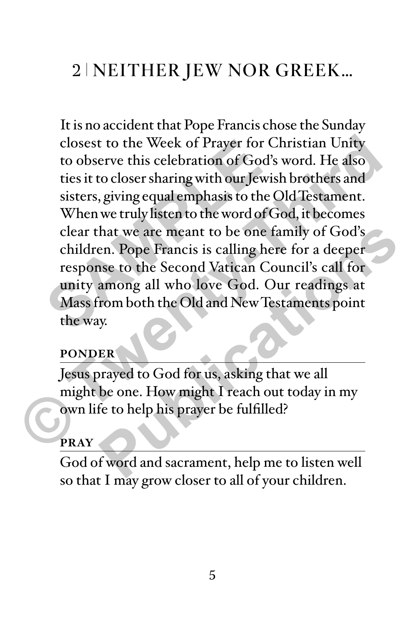# 2 NEITHER JEW NOR GREEK…

It is no accident that Pope Francis chose the Sunday closest to the Week of Prayer for Christian Unity to observe this celebration of God's word. He also ties it to closer sharing with our Jewish brothers and sisters, giving equal emphasis to the Old Testament. When we truly listen to the word of God, it becomes clear that we are meant to be one family of God's children. Pope Francis is calling here for a deeper response to the Second Vatican Council's call for unity among all who love God. Our readings at Mass from both the Old and New Testaments point the way. closest to the Week of Prayer for C<br>to observe this celebration of God's<br>ties it to closer sharing with our Jewis<br>sisters, giving equal emphasis to the C<br>When we truly listen to the word of G<br>clear that we are meant to be closest to the Week of Prayer for Christian Unity<br>to observe this celebration of God's word. He also<br>ties it to closer sharing with our Jewish brothers and<br>sisters, giving equal emphasis to the Old Testament.<br>When we truly hat we are meant to be one family of God's<br>
en. Pope Francis is calling here for a deeper<br>
asse to the Second Vatican Council's call for<br>
among all who love God. Our readings at<br>
rom both the Old and New Testaments point<br>

#### **PONDER**

Jesus prayed to God for us, asking that we all might be one. How might I reach out today in my own life to help his prayer be fulfilled?

#### **PRAY**

God of word and sacrament, help me to listen well so that I may grow closer to all of your children.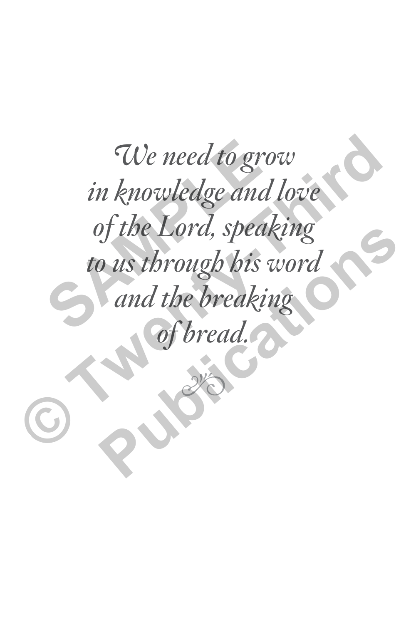We need to grow in knowledge and love of the Lord, speaking to us through his word and the breaking We need to gro<br>in knowledge and<br>of the Lord, speak<br>to us through his w<br>and the breakin bread. We need to grow<br>in knowledge and love<br>of the Lord, speaking<br>to us through his word<br>and the breaking<br>of bread. p the Lora, speaking<br>
p us through his word<br>
and the breaking<br>
of bread.<br>
S